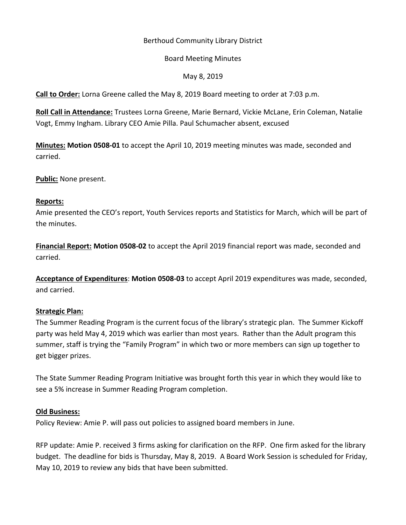# Berthoud Community Library District

### Board Meeting Minutes

# May 8, 2019

**Call to Order:** Lorna Greene called the May 8, 2019 Board meeting to order at 7:03 p.m.

**Roll Call in Attendance:** Trustees Lorna Greene, Marie Bernard, Vickie McLane, Erin Coleman, Natalie Vogt, Emmy Ingham. Library CEO Amie Pilla. Paul Schumacher absent, excused

**Minutes: Motion 0508-01** to accept the April 10, 2019 meeting minutes was made, seconded and carried.

**Public:** None present.

### **Reports:**

Amie presented the CEO's report, Youth Services reports and Statistics for March, which will be part of the minutes.

**Financial Report: Motion 0508-02** to accept the April 2019 financial report was made, seconded and carried.

**Acceptance of Expenditures**: **Motion 0508-03** to accept April 2019 expenditures was made, seconded, and carried.

### **Strategic Plan:**

The Summer Reading Program is the current focus of the library's strategic plan. The Summer Kickoff party was held May 4, 2019 which was earlier than most years. Rather than the Adult program this summer, staff is trying the "Family Program" in which two or more members can sign up together to get bigger prizes.

The State Summer Reading Program Initiative was brought forth this year in which they would like to see a 5% increase in Summer Reading Program completion.

### **Old Business:**

Policy Review: Amie P. will pass out policies to assigned board members in June.

RFP update: Amie P. received 3 firms asking for clarification on the RFP. One firm asked for the library budget. The deadline for bids is Thursday, May 8, 2019. A Board Work Session is scheduled for Friday, May 10, 2019 to review any bids that have been submitted.